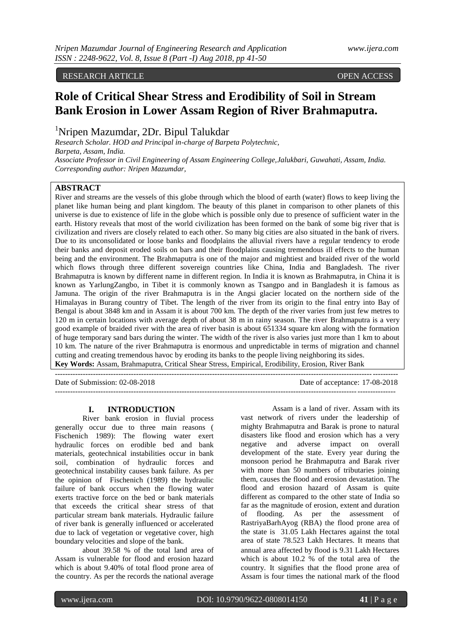## RESEARCH ARTICLE **CONTRACT ARTICLE** AND LOTE OPEN ACCESS OPEN ACCESS OPEN ACCESS OF A SALE OF A SALE OF A SALE OF A SALE OF A SALE OF A SALE OF A SALE OF A SALE OF A SALE OF A SALE OF A SALE OF A SALE OF A SALE OF A SALE O

# **Role of Critical Shear Stress and Erodibility of Soil in Stream Bank Erosion in Lower Assam Region of River Brahmaputra.**

<sup>1</sup>Nripen Mazumdar, 2Dr. Bipul Talukdar

*Research Scholar. HOD and Principal in-charge of Barpeta Polytechnic, Barpeta, Assam, India. Associate Professor in Civil Engineering of Assam Engineering College,Jalukbari, Guwahati, Assam, India. Corresponding author: Nripen Mazumdar,*

# **ABSTRACT**

River and streams are the vessels of this globe through which the blood of earth (water) flows to keep living the planet like human being and plant kingdom. The beauty of this planet in comparison to other planets of this universe is due to existence of life in the globe which is possible only due to presence of sufficient water in the earth. History reveals that most of the world civilization has been formed on the bank of some big river that is civilization and rivers are closely related to each other. So many big cities are also situated in the bank of rivers. Due to its unconsolidated or loose banks and floodplains the alluvial rivers have a regular tendency to erode their banks and deposit eroded soils on bars and their floodplains causing tremendous ill effects to the human being and the environment. The Brahmaputra is one of the major and mightiest and braided river of the world which flows through three different sovereign countries like China, India and Bangladesh. The river Brahmaputra is known by different name in different region. In India it is known as Brahmaputra, in China it is known as YarlungZangbo, in Tibet it is commonly known as Tsangpo and in Bangladesh it is famous as Jamuna. The origin of the river Brahmaputra is in the Angsi glacier located on the northern side of the Himalayas in Burang country of Tibet. The length of the river from its origin to the final entry into Bay of Bengal is about 3848 km and in Assam it is about 700 km. The depth of the river varies from just few metres to 120 m in certain locations with average depth of about 38 m in rainy season. The river Brahmaputra is a very good example of braided river with the area of river basin is about 651334 square km along with the formation of huge temporary sand bars during the winter. The width of the river is also varies just more than 1 km to about 10 km. The nature of the river Brahmaputra is enormous and unpredictable in terms of migration and channel cutting and creating tremendous havoc by eroding its banks to the people living neighboring its sides. **Key Words:** Assam, Brahmaputra, Critical Shear Stress, Empirical, Erodibility, Erosion, River Bank

---------------------------------------------------------------------------------------------------------------------------------------

Date of Submission: 02-08-2018 Date of acceptance: 17-08-2018 --------------------------------------------------------------------------------------------------------------------------------------

## **I. INTRODUCTION**

River bank erosion in fluvial process generally occur due to three main reasons ( Fischenich 1989): The flowing water exert hydraulic forces on erodible bed and bank materials, geotechnical instabilities occur in bank soil, combination of hydraulic forces and geotechnical instability causes bank failure. As per the opinion of Fischenich (1989) the hydraulic failure of bank occurs when the flowing water exerts tractive force on the bed or bank materials that exceeds the critical shear stress of that particular stream bank materials. Hydraulic failure of river bank is generally influenced or accelerated due to lack of vegetation or vegetative cover, high boundary velocities and slope of the bank.

about 39.58 % of the total land area of Assam is vulnerable for flood and erosion hazard which is about 9.40% of total flood prone area of the country. As per the records the national average

 Assam is a land of river. Assam with its vast network of rivers under the leadership of mighty Brahmaputra and Barak is prone to natural disasters like flood and erosion which has a very negative and adverse impact on overall development of the state. Every year during the monsoon period he Brahmaputra and Barak river with more than 50 numbers of tributaries joining them, causes the flood and erosion devastation. The flood and erosion hazard of Assam is quite different as compared to the other state of India so far as the magnitude of erosion, extent and duration<br>of flooding. As per the assessment of flooding. As per the assessment of RastriyaBarhAyog (RBA) the flood prone area of the state is 31.05 Lakh Hectares against the total area of state 78.523 Lakh Hectares. It means that annual area affected by flood is 9.31 Lakh Hectares which is about 10.2 % of the total area of the country. It signifies that the flood prone area of Assam is four times the national mark of the flood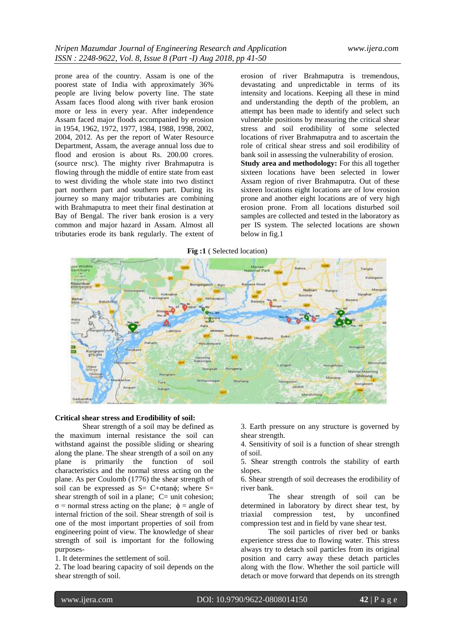prone area of the country. Assam is one of the poorest state of India with approximately 36% people are living below poverty line. The state Assam faces flood along with river bank erosion more or less in every year. After independence Assam faced major floods accompanied by erosion in 1954, 1962, 1972, 1977, 1984, 1988, 1998, 2002, 2004, 2012. As per the report of Water Resource Department, Assam, the average annual loss due to flood and erosion is about Rs. 200.00 crores. (source nrsc). The mighty river Brahmaputra is flowing through the middle of entire state from east to west dividing the whole state into two distinct part northern part and southern part. During its journey so many major tributaries are combining with Brahmaputra to meet their final destination at Bay of Bengal. The river bank erosion is a very common and major hazard in Assam. Almost all tributaries erode its bank regularly. The extent of erosion of river Brahmaputra is tremendous, devastating and unpredictable in terms of its intensity and locations. Keeping all these in mind and understanding the depth of the problem, an attempt has been made to identify and select such vulnerable positions by measuring the critical shear stress and soil erodibility of some selected locations of river Brahmaputra and to ascertain the role of critical shear stress and soil erodibility of bank soil in assessing the vulnerability of erosion. **Study area and methodology:** For this all together sixteen locations have been selected in lower Assam region of river Brahmaputra. Out of these sixteen locations eight locations are of low erosion prone and another eight locations are of very high erosion prone. From all locations disturbed soil samples are collected and tested in the laboratory as per IS system. The selected locations are shown below in fig.1



# **Critical shear stress and Erodibility of soil:**

Shear strength of a soil may be defined as the maximum internal resistance the soil can withstand against the possible sliding or shearing along the plane. The shear strength of a soil on any plane is primarily the function of soil characteristics and the normal stress acting on the plane. As per Coulomb (1776) the shear strength of soil can be expressed as  $S = C + \sigma \tan \phi$ ; where  $S =$ shear strength of soil in a plane;  $C=$  unit cohesion; σ = normal stress acting on the plane; ϕ = angle of internal friction of the soil. Shear strength of soil is one of the most important properties of soil from engineering point of view. The knowledge of shear strength of soil is important for the following purposes-

1. It determines the settlement of soil.

2. The load bearing capacity of soil depends on the shear strength of soil.

3. Earth pressure on any structure is governed by shear strength.

4. Sensitivity of soil is a function of shear strength of soil.

5. Shear strength controls the stability of earth slopes.

6. Shear strength of soil decreases the erodibility of river bank.

The shear strength of soil can be determined in laboratory by direct shear test, by triaxial compression test, by unconfined compression test and in field by vane shear test.

The soil particles of river bed or banks experience stress due to flowing water. This stress always try to detach soil particles from its original position and carry away these detach particles along with the flow. Whether the soil particle will detach or move forward that depends on its strength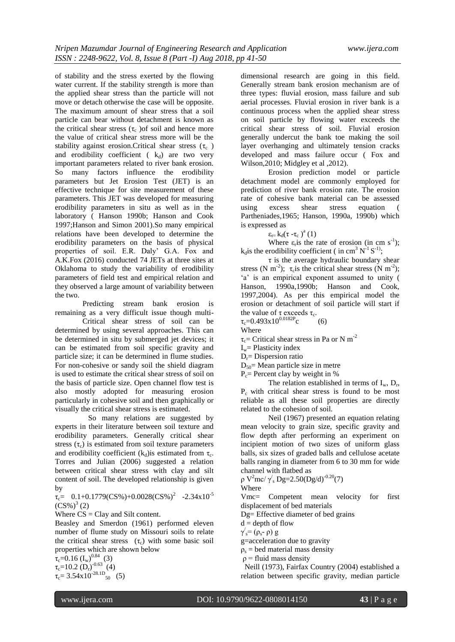of stability and the stress exerted by the flowing water current. If the stability strength is more than the applied shear stress than the particle will not move or detach otherwise the case will be opposite. The maximum amount of shear stress that a soil particle can bear without detachment is known as the critical shear stress  $(\tau_c)$  of soil and hence more the value of critical shear stress more will be the stability against erosion.Critical shear stress  $(\tau_c)$ and erodibility coefficient  $(k_d)$  are two very important parameters related to river bank erosion. So many factors influence the erodibility parameters but Jet Erosion Test (JET) is an effective technique for site measurement of these parameters. This JET was developed for measuring erodibility parameters in situ as well as in the laboratory ( Hanson 1990b; Hanson and Cook 1997;Hanson and Simon 2001).So many empirical relations have been developed to determine the erodibility parameters on the basis of physical properties of soil. E.R. Daly' G.A. Fox and A.K.Fox (2016) conducted 74 JETs at three sites at Oklahoma to study the variability of erodibility parameters of field test and empirical relation and they observed a large amount of variability between the two.

Predicting stream bank erosion is remaining as a very difficult issue though multi-

Critical shear stress of soil can be determined by using several approaches. This can be determined in situ by submerged jet devices; it can be estimated from soil specific gravity and particle size; it can be determined in flume studies. For non-cohesive or sandy soil the shield diagram is used to estimate the critical shear stress of soil on the basis of particle size. Open channel flow test is also mostly adopted for measuring erosion particularly in cohesive soil and then graphically or visually the critical shear stress is estimated.

 So many relations are suggested by experts in their literature between soil texture and erodibility parameters. Generally critical shear stress  $(\tau_c)$  is estimated from soil texture parameters and erodibility coefficient  $(k_d)$ is estimated from  $\tau_c$ . Torres and Julian (2006) suggested a relation between critical shear stress with clay and silt content of soil. The developed relationship is given by

 $\tau_{c}$  = 0.1+0.1779(CS%)+0.0028(CS%)<sup>2</sup> -2.34x10<sup>-5</sup>  $(CS\%)^3(2)$ 

Where  $CS = Clay$  and Silt content.

Beasley and Smerdon (1961) performed eleven number of flume study on Missouri soils to relate the critical shear stress  $(\tau_c)$  with some basic soil properties which are shown below

 $\tau_c = 0.16 \left(I_w\right)^{0.84}$  (3)  $\tau_c = 10.2 \text{ (D}_r)^{-0.63}$  (4)

 $\tau_c$  = 3.54x10<sup>-28.1D</sup><sub>50</sub> (5)

dimensional research are going in this field. Generally stream bank erosion mechanism are of three types: fluvial erosion, mass failure and sub aerial processes. Fluvial erosion in river bank is a continuous process when the applied shear stress on soil particle by flowing water exceeds the critical shear stress of soil. Fluvial erosion generally undercut the bank toe making the soil layer overhanging and ultimately tension cracks developed and mass failure occur ( Fox and Wilson,2010; Midgley et al ,2012).

Erosion prediction model or particle detachment model are commonly employed for prediction of river bank erosion rate. The erosion rate of cohesive bank material can be assessed using excess shear stress equation Partheniades,1965; Hanson, 1990a, 1990b) which is expressed as

 $\varepsilon_{\rm r=} k_{\rm d}(\tau - \tau_{\rm c})^{\rm a}(1)$ 

Where  $\varepsilon_r$  is the rate of erosion (in cm s<sup>-1</sup>);  $k_d$  is the erodibility coefficient (in cm<sup>3</sup> N<sup>-1</sup> S<sup>-1</sup>);

 $\tau$  is the average hydraulic boundary shear stress (N m<sup>-2</sup>);  $\tau_c$  is the critical shear stress (N m<sup>-2</sup>); 'a' is an empirical exponent assumed to unity ( Hanson, 1990a,1990b; Hanson and Cook, 1997,2004). As per this empirical model the erosion or detachment of soil particle will start if the value of  $\tau$  exceeds  $\tau_c$ .

 $\tau_c$ =0.493x10<sup>0.0182P</sup>c (6)

Where

 $\tau_c$ = Critical shear stress in Pa or N m<sup>-2</sup>

 $I_w$ = Plasticity index

 $D_r =$ Dispersion ratio

 $D_{50}$ = Mean particle size in metre

 $P_c$ = Percent clay by weight in %

The relation established in terms of  $I_w$ ,  $D_r$ , Pc with critical shear stress is found to be most reliable as all these soil properties are directly related to the cohesion of soil.

Neil (1967) presented an equation relating mean velocity to grain size, specific gravity and flow depth after performing an experiment on incipient motion of two sizes of uniform glass balls, six sizes of graded balls and cellulose acetate balls ranging in diameter from 6 to 30 mm for wide channel with flatbed as

ρ V<sup>2</sup>mc/ γ'<sub>s</sub> Dg=2.50(Dg/d)<sup>-0.20</sup>(7)

Where

Vmc= Competent mean velocity for first displacement of bed materials

Dg= Effective diameter of bed grains

 $d =$  depth of flow

 $γ'_{s}=(ρ_{s}^{2}-ρ) g$ 

g=acceleration due to gravity

 $\rho_s$  = bed material mass density

 $\rho$  = fluid mass density

 Neill (1973), Fairfax Country (2004) established a relation between specific gravity, median particle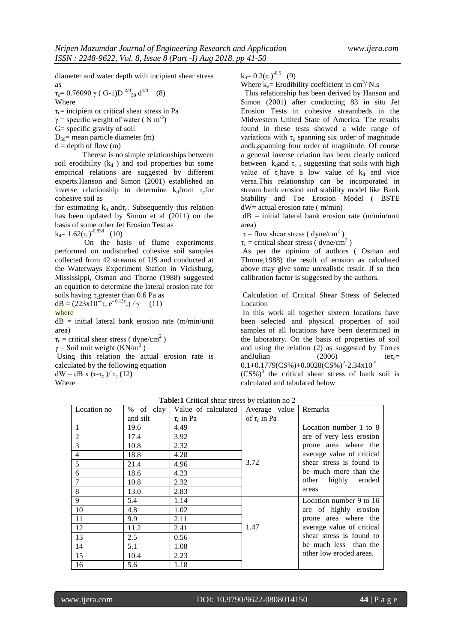diameter and water depth with incipient shear stress as

τ<sub>c</sub>= 0.76090 γ ( G-1)D <sup>2/3</sup><sub>50</sub> d<sup>1/3</sup> (8)

**Where**  $\tau_c$ = incipient or critical shear stress in Pa

 $\gamma$  = specific weight of water ( N m<sup>-3</sup>)

G= specific gravity of soil

 $D_{50}$  mean particle diameter (m)

 $d =$  depth of flow  $(m)$ 

Therese is no simple relationships between soil erodibility  $(k_d)$  and soil properties but some empirical relations are suggested by different experts.Hanson and Simon (2001) established an inverse relationship to determine  $k_d$ from  $\tau_c$ for cohesive soil as

for estimating  $k_d$  and $\tau_c$ . Subsequently this relation has been updated by Simon et al (2011) on the basis of some other Jet Erosion Test as

 $k_d = 1.62(\tau_c)^{-0.838}$  (10)

On the basis of flume experiments performed on undisturbed cohesive soil samples collected from 42 streams of US and conducted at the Waterways Experiment Station in Vicksburg, Mississippi, Osman and Thorne (1988) suggested an equation to determine the lateral erosion rate for

soils having  $\tau_{\rm c}$ greater than 0.6 Pa as dB =  $(223x10^{-4}\tau_c e^{-0.13\tau_c})/\gamma$  (11)

where

 $dB = initial$  lateral bank erosion rate (m/min/unit area)

 $\tau_c$  = critical shear stress ( dyne/cm<sup>2</sup>)

 $\gamma$  = Soil unit weight (KN/m<sup>3</sup>)

Using this relation the actual erosion rate is calculated by the following equation

dW = dB x (τ-τ<sub>c</sub>)/ τ<sub>c</sub> (12)

Where

 $k_d = 0.2(\tau_c)^{-0.5}$  (9)

Where  $k_d$ = Erodibility coefficient in cm<sup>3</sup>/ N.s

 This relationship has been derived by Hanson and Simon (2001) after conducting 83 in situ Jet Erosion Tests in cohesive streambeds in the Midwestern United State of America. The results found in these tests showed a wide range of variations with  $\tau_c$  spanning six order of magnitude and $k_d$ spanning four order of magnitude. Of course a general inverse relation has been clearly noticed between  $k_d$ and  $\tau_c$ , suggesting that soils with high value of  $\tau_c$ have a low value of  $k_d$  and vice versa.This relationship can be incorporated in stream bank erosion and stability model like Bank Stability and Toe Erosion Model ( BSTE dW= actual erosion rate ( m/min)

 $dB = initial$  lateral bank erosion rate (m/min/unit area)

 $\tau$  = flow shear stress (dyne/cm<sup>2</sup>)

 $\tau_c$  = critical shear stress (dyne/cm<sup>2</sup>)

As per the opinion of authors ( Osman and Throne,1988) the result of erosion as calculated above may give some unrealistic result. If so then calibration factor is suggested by the authors.

Calculation of Critical Shear Stress of Selected Location

In this work all together sixteen locations have been selected and physical properties of soil samples of all locations have been determined in the laboratory. On the basis of properties of soil and using the relation (2) as suggested by Torres andJulian (2006) ie $\tau_c$ =  $0.1+0.1779(CS\%) + 0.0028(CS\%)^2 - 2.34 \times 10^{-5}$ 

 $(CS\%)$ <sup>3</sup> the critical shear stress of bank soil is calculated and tabulated below

| Location no    |          | % of clay   Value of calculated | Average value     | Remarks                   |
|----------------|----------|---------------------------------|-------------------|---------------------------|
|                | and silt | $\tau_c$ in Pa                  | of $\tau_c$ in Pa |                           |
|                | 19.6     | 4.49                            |                   | Location number 1 to 8    |
| $\overline{2}$ | 17.4     | 3.92                            |                   | are of very less erosion  |
| 3              | 10.8     | 2.32                            |                   | prone area where the      |
| $\overline{4}$ | 18.8     | 4.28                            |                   | average value of critical |
| 5              | 21.4     | 4.96                            | 3.72              | shear stress is found to  |
| 6              | 18.6     | 4.23                            |                   | be much more than the     |
| 7              | 10.8     | 2.32                            |                   | highly<br>other<br>eroded |
| 8              | 13.0     | 2.83                            |                   | areas                     |
| 9              | 5.4      | 1.14                            |                   | Location number 9 to 16   |
| 10             | 4.8      | 1.02                            |                   | are of highly erosion     |
| 11             | 9.9      | 2.11                            |                   | prone area where the      |
| 12             | 11.2     | 2.41                            | 1.47              | average value of critical |
| 13             | 2.5      | 0.56                            |                   | shear stress is found to  |
| 14             | 5.1      | 1.08                            |                   | be much less than the     |
| 15             | 10.4     | 2.23                            |                   | other low eroded areas.   |
| 16             | 5.6      | 1.18                            |                   |                           |

**Table:1** Critical shear stress by relation no 2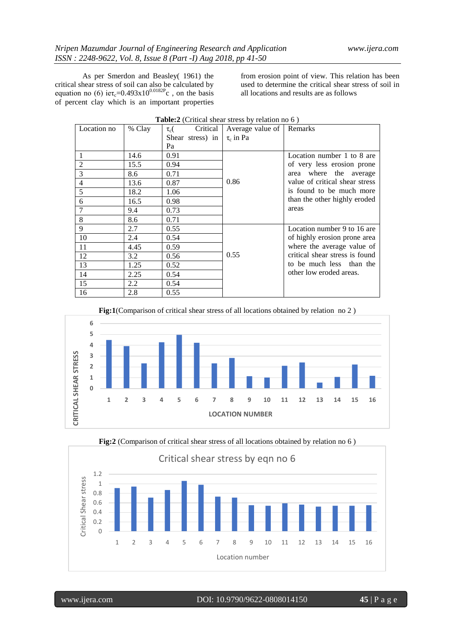As per Smerdon and Beasley( 1961) the critical shear stress of soil can also be calculated by equation no (6) ie $\tau_c$ =0.493x10<sup>0.0182P</sup>c, on the basis of percent clay which is an important properties from erosion point of view. This relation has been used to determine the critical shear stress of soil in all locations and results are as follows

| Location no    | % Clay | Critical<br>$\tau_c$ ( | Average value of   Remarks |                                |
|----------------|--------|------------------------|----------------------------|--------------------------------|
|                |        | Shear stress) in       | $\tau_c$ in Pa             |                                |
|                |        | Pa                     |                            |                                |
|                | 14.6   | 0.91                   |                            | Location number 1 to 8 are     |
| $\overline{2}$ | 15.5   | 0.94                   |                            | of very less erosion prone     |
| 3              | 8.6    | 0.71                   |                            | where the<br>average<br>area   |
| 4              | 13.6   | 0.87                   | 0.86                       | value of critical shear stress |
| 5              | 18.2   | 1.06                   |                            | is found to be much more       |
| 6              | 16.5   | 0.98                   |                            | than the other highly eroded   |
| 7              | 9.4    | 0.73                   |                            | areas                          |
| 8              | 8.6    | 0.71                   |                            |                                |
| 9              | 2.7    | 0.55                   |                            | Location number 9 to 16 are    |
| 10             | 2.4    | 0.54                   |                            | of highly erosion prone area   |
| 11             | 4.45   | 0.59                   |                            | where the average value of     |
| 12             | 3.2    | 0.56                   | 0.55                       | critical shear stress is found |
| 13             | 1.25   | 0.52                   |                            | to be much less than the       |
| 14             | 2.25   | 0.54                   |                            | other low eroded areas.        |
| 15             | 2.2    | 0.54                   |                            |                                |
| 16             | 2.8    | 0.55                   |                            |                                |

|  |  | <b>Table:2</b> (Critical shear stress by relation no 6) |
|--|--|---------------------------------------------------------|
|--|--|---------------------------------------------------------|

**Fig:1**(Comparison of critical shear stress of all locations obtained by relation no 2 )



**Fig:2** (Comparison of critical shear stress of all locations obtained by relation no 6 )

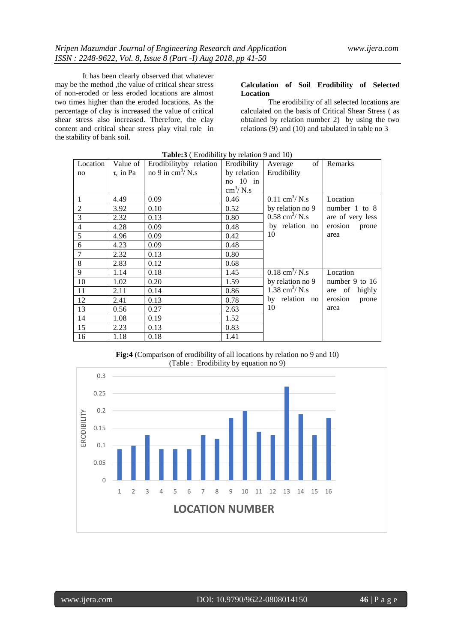It has been clearly observed that whatever may be the method ,the value of critical shear stress of non-eroded or less eroded locations are almost two times higher than the eroded locations. As the percentage of clay is increased the value of critical shear stress also increased. Therefore, the clay content and critical shear stress play vital role in the stability of bank soil.

## **Calculation of Soil Erodibility of Selected Location**

The erodibility of all selected locations are calculated on the basis of Critical Shear Stress ( as obtained by relation number 2) by using the two relations (9) and (10) and tabulated in table no 3

| Location       | Value of       | Erodibilityby relation            | Erodibility              | of<br>Average                   | Remarks           |
|----------------|----------------|-----------------------------------|--------------------------|---------------------------------|-------------------|
| no             | $\tau_c$ in Pa | no 9 in $\text{cm}^3/\text{N}$ .s | by relation              | Erodibility                     |                   |
|                |                |                                   | no $10$ in               |                                 |                   |
|                |                |                                   | $\text{cm}^3/\text{N.s}$ |                                 |                   |
| 1              | 4.49           | 0.09                              | 0.46                     | $0.11 \text{ cm}^3/\text{N}$ .s | Location          |
| $\overline{2}$ | 3.92           | 0.10                              | 0.52                     | by relation no 9                | number $1$ to $8$ |
| $\overline{3}$ | 2.32           | 0.13                              | 0.80                     | $0.58 \text{ cm}^3/\text{N}$ .s | are of very less  |
| $\overline{4}$ | 4.28           | 0.09                              | 0.48                     | by relation no                  | erosion<br>prone  |
| 5              | 4.96           | 0.09                              | 0.42                     | 10                              | area              |
| 6              | 4.23           | 0.09                              | 0.48                     |                                 |                   |
| 7              | 2.32           | 0.13                              | 0.80                     |                                 |                   |
| 8              | 2.83           | 0.12                              | 0.68                     |                                 |                   |
| 9              | 1.14           | 0.18                              | 1.45                     | $0.18 \text{ cm}^3/\text{N}$ .s | Location          |
| 10             | 1.02           | 0.20                              | 1.59                     | by relation no 9                | number 9 to 16    |
| 11             | 2.11           | 0.14                              | 0.86                     | 1.38 cm <sup>3</sup> / N.s      | are of<br>highly  |
| 12             | 2.41           | 0.13                              | 0.78                     | by relation no                  | erosion<br>prone  |
| 13             | 0.56           | 0.27                              | 2.63                     | 10                              | area              |
| 14             | 1.08           | 0.19                              | 1.52                     |                                 |                   |
| 15             | 2.23           | 0.13                              | 0.83                     |                                 |                   |
| 16             | 1.18           | 0.18                              | 1.41                     |                                 |                   |

#### **Table:3** ( Erodibility by relation 9 and 10)

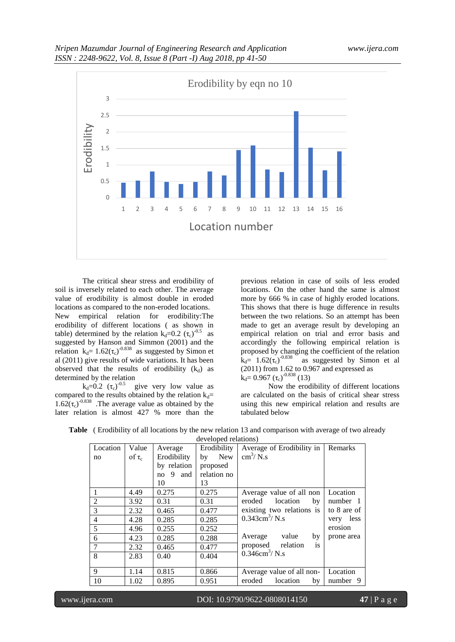

The critical shear stress and erodibility of soil is inversely related to each other. The average value of erodibility is almost double in eroded locations as compared to the non-eroded locations. New empirical relation for erodibility:The erodibility of different locations ( as shown in table) determined by the relation  $k_d = 0.2$  ( $\tau_c$ )<sup>-0.5</sup> as suggested by Hanson and Simmon (2001) and the relation  $k_d = 1.62(\tau_c)^{-0.838}$  as suggested by Simon et al (2011) give results of wide variations. It has been observed that the results of erodibility  $(k_d)$  as determined by the relation

 $k_d = 0.2$  ( $\tau_c$ )<sup>-0.5</sup> give very low value as compared to the results obtained by the relation  $k_d=$  $1.62(\tau_c)^{-0.838}$  . The average value as obtained by the later relation is almost 427 % more than the

previous relation in case of soils of less eroded locations. On the other hand the same is almost more by 666 % in case of highly eroded locations. This shows that there is huge difference in results between the two relations. So an attempt has been made to get an average result by developing an empirical relation on trial and error basis and accordingly the following empirical relation is proposed by changing the coefficient of the relation  $k_d$ = 1.62( $\tau_c$ )<sup>-0.838</sup> as suggested by Simon et al (2011) from 1.62 to 0.967 and expressed as  $k_d$ = 0.967 (τ<sub>c</sub>)<sup>-0.838</sup> (13)

Now the erodibility of different locations are calculated on the basis of critical shear stress using this new empirical relation and results are tabulated below

|                |             |                | acveloped Telations |                           |              |
|----------------|-------------|----------------|---------------------|---------------------------|--------------|
| Location       | Value       | Average        | Erodibility         | Average of Erodibility in | Remarks      |
| no             | of $\tau_c$ | Erodibility    | New<br>by           | $\text{cm}^3/\text{N}$ .s |              |
|                |             | by relation    | proposed            |                           |              |
|                |             | 9<br>and<br>no | relation no         |                           |              |
|                |             | 10             | 13                  |                           |              |
| 1              | 4.49        | 0.275          | 0.275               | Average value of all non  | Location     |
| $\overline{2}$ | 3.92        | 0.31           | 0.31                | eroded<br>location<br>by  | number 1     |
| 3              | 2.32        | 0.465          | 0.477               | existing two relations is | to 8 are of  |
| $\overline{4}$ | 4.28        | 0.285          | 0.285               | $0.343cm^3/N.s$           | less<br>very |
| 5              | 4.96        | 0.255          | 0.252               |                           | erosion      |
| 6              | 4.23        | 0.285          | 0.288               | value<br>Average<br>by    | prone area   |
| 7              | 2.32        | 0.465          | 0.477               | proposed relation<br>is   |              |
| 8              | 2.83        | 0.40           | 0.404               | $0.346cm^3/N.s$           |              |
|                |             |                |                     |                           |              |
| 9              | 1.14        | 0.815          | 0.866               | Average value of all non- | Location     |
| 10             | 1.02        | 0.895          | 0.951               | eroded<br>location<br>by  | number 9     |

**Table** ( Erodibility of all locations by the new relation 13 and comparison with average of two already developed relations)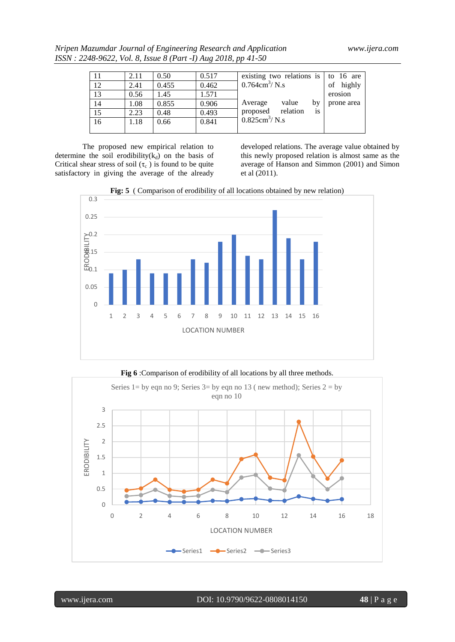*Nripen Mazumdar Journal of Engineering Research and Application www.ijera.com ISSN : 2248-9622, Vol. 8, Issue 8 (Part -I) Aug 2018, pp 41-50*

|    | 2.11 | 0.50  | 0.517 | existing two relations is $\vert$ to 16 are |          |    |            |
|----|------|-------|-------|---------------------------------------------|----------|----|------------|
| 12 | 2.41 | 0.455 | 0.462 | $0.764 \text{cm}^3/\text{N}$ .s             |          |    | of highly  |
| 13 | 0.56 | 1.45  | 1.571 |                                             |          |    | erosion    |
| 14 | 1.08 | 0.855 | 0.906 | Average                                     | value    | bv | prone area |
| 15 | 2.23 | 0.48  | 0.493 | proposed                                    | relation | is |            |
| 16 | 1.18 | 0.66  | 0.841 | $0.825cm^3/N.s$                             |          |    |            |
|    |      |       |       |                                             |          |    |            |

The proposed new empirical relation to determine the soil erodibility( $k_d$ ) on the basis of Critical shear stress of soil  $(\tau_c)$  is found to be quite satisfactory in giving the average of the already

developed relations. The average value obtained by this newly proposed relation is almost same as the average of Hanson and Simmon (2001) and Simon et al (2011).





**Fig 6** :Comparison of erodibility of all locations by all three methods.

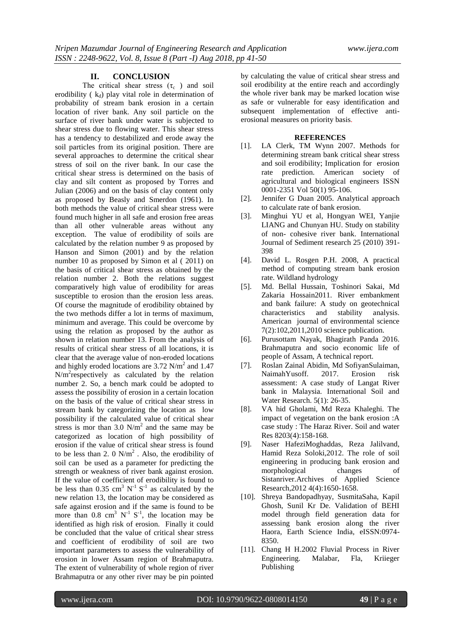#### **II. CONCLUSION**

The critical shear stress  $(\tau_c)$  and soil erodibility ( $k_d$ ) play vital role in determination of probability of stream bank erosion in a certain location of river bank. Any soil particle on the surface of river bank under water is subjected to shear stress due to flowing water. This shear stress has a tendency to destabilized and erode away the soil particles from its original position. There are several approaches to determine the critical shear stress of soil on the river bank. In our case the critical shear stress is determined on the basis of clay and silt content as proposed by Torres and Julian (2006) and on the basis of clay content only as proposed by Beasly and Smerdon (1961). In both methods the value of critical shear stress were found much higher in all safe and erosion free areas than all other vulnerable areas without any exception. The value of erodibility of soils are calculated by the relation number 9 as proposed by Hanson and Simon (2001) and by the relation number 10 as proposed by Simon et al ( 2011) on the basis of critical shear stress as obtained by the relation number 2. Both the relations suggest comparatively high value of erodibility for areas susceptible to erosion than the erosion less areas. Of course the magnitude of erodibility obtained by the two methods differ a lot in terms of maximum, minimum and average. This could be overcome by using the relation as proposed by the author as shown in relation number 13. From the analysis of results of critical shear stress of all locations, it is clear that the average value of non-eroded locations and highly eroded locations are  $3.72$  N/m<sup>2</sup> and  $1.47$  $N/m<sup>2</sup>$  respectively as calculated by the relation number 2. So, a bench mark could be adopted to assess the possibility of erosion in a certain location on the basis of the value of critical shear stress in stream bank by categorizing the location as low possibility if the calculated value of critical shear stress is mor than  $3.0 \text{ N/m}^2$  and the same may be categorized as location of high possibility of erosion if the value of critical shear stress is found to be less than 2. 0  $N/m^2$ . Also, the erodibility of soil can be used as a parameter for predicting the strength or weakness of river bank against erosion. If the value of coefficient of erodibility is found to be less than 0.35 cm<sup>3</sup>  $N^{-1}$  S<sup>-1</sup> as calculated by the new relation 13, the location may be considered as safe against erosion and if the same is found to be more than  $0.8 \text{ cm}^3 \text{ N}^{-1} \text{ S}^{-1}$ , the location may be identified as high risk of erosion. Finally it could be concluded that the value of critical shear stress and coefficient of erodibility of soil are two important parameters to assess the vulnerability of erosion in lower Assam region of Brahmaputra. The extent of vulnerability of whole region of river Brahmaputra or any other river may be pin pointed

by calculating the value of critical shear stress and soil erodibility at the entire reach and accordingly the whole river bank may be marked location wise as safe or vulnerable for easy identification and subsequent implementation of effective antierosional measures on priority basis.

### **REFERENCES**

- [1]. LA Clerk, TM Wynn 2007. Methods for determining stream bank critical shear stress and soil erodibility; Implication for erosion rate prediction. American society of agricultural and biological engineers ISSN 0001-2351 Vol 50(1) 95-106.
- [2]. Jennifer G Duan 2005. Analytical approach to calculate rate of bank erosion.
- [3]. Minghui YU et al, Hongyan WEI, Yanjie LIANG and Chunyan HU. Study on stability of non- cohesive river bank. International Journal of Sediment research 25 (2010) 391- 398
- [4]. David L. Rosgen P.H. 2008, A practical method of computing stream bank erosion rate. Wildland hydrology
- [5]. Md. Bellal Hussain, Toshinori Sakai, Md Zakaria Hossain2011. River embankment and bank failure: A study on geotechnical characteristics and stability analysis. American journal of environmental science 7(2):102,2011,2010 science publication.
- [6]. Purusottam Nayak, Bhagirath Panda 2016. Brahmaputra and socio economic life of people of Assam, A technical report.
- [7]. Roslan Zainal Abidin, Md SofiyanSulaiman, NaimahYusoff. 2017. Erosion risk assessment: A case study of Langat River bank in Malaysia. International Soil and Water Research. 5(1): 26-35.
- [8]. VA hid Gholami, Md Reza Khaleghi. The impact of vegetation on the bank erosion :A case study : The Haraz River. Soil and water Res 8203(4):158-168.
- [9]. Naser HafeziMoghaddas, Reza Jalilvand, Hamid Reza Soloki,2012. The role of soil engineering in producing bank erosion and morphological changes of Sistanriver.Archives of Applied Science Research,2012 4(4):1650-1658.
- [10]. Shreya Bandopadhyay, SusmitaSaha, Kapil Ghosh, Sunil Kr De. Validation of BEHI model through field generation data for assessing bank erosion along the river Haora, Earth Science India, eISSN:0974- 8350.
- [11]. Chang H H.2002 Fluvial Process in River Engineering. Malabar, Fla, Kriieger Publishing